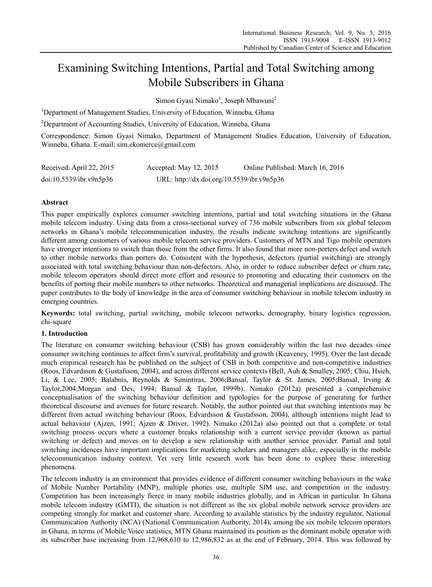# Examining Switching Intentions, Partial and Total Switching among Mobile Subscribers in Ghana

Simon Gyasi Nimako<sup>1</sup>, Joseph Mbawuni<sup>2</sup>

<sup>1</sup>Department of Management Studies, University of Education, Winneba, Ghana

<sup>2</sup>Department of Accounting Studies, University of Education, Winneba, Ghana

Correspondence: Simon Gyasi Nimako, Department of Management Studies Education, University of Education, Winneba, Ghana. E-mail: sim.ekomerce@gmail.com

| Received: April 22, 2015 | Accepted: May $12, 2015$                   | Online Published: March 16, 2016 |
|--------------------------|--------------------------------------------|----------------------------------|
| doi:10.5539/ibr.v9n5p36  | URL: http://dx.doi.org/10.5539/ibr.v9n5p36 |                                  |

# **Abstract**

This paper empirically explores consumer switching intentions, partial and total switching situations in the Ghana mobile telecom industry. Using data from a cross-sectional survey of 736 mobile subscribers from six global telecom networks in Ghana's mobile telecommunication industry, the results indicate switching intentions are significantly different among customers of various mobile telecom service providers. Customers of MTN and Tigo mobile operators have stronger intentions to switch than those from the other firms. It also found that more non-porters defect and switch to other mobile networks than porters do. Consistent with the hypothesis, defectors (partial switching) are strongly associated with total switching behaviour than non-defectors. Also, in order to reduce subscriber defect or churn rate, mobile telecom operators should direct more effort and resource to promoting and educating their customers on the benefits of porting their mobile numbers to other networks. Theoretical and managerial implications are discussed. The paper contributes to the body of knowledge in the area of consumer switching behaviour in mobile telecom industry in emerging countries.

**Keywords:** total switching, partial switching, mobile telecom networks, demography, binary logistics regression, chi-square

## **1. Introduction**

The literature on consumer switching behaviour (CSB) has grown considerably within the last two decades since consumer switching continues to affect firm's survival, profitability and growth (Keaveney, 1995). Over the last decade much empirical research has be published on the subject of CSB in both competitive and non-competitive industries (Roos, Edvardsson & Gustafsson, 2004), and across different service contexts (Bell, Auh & Smalley, 2005; Chiu, Hsieh, Li, & Lee, 2005; Balabnis, Reynolds & Simintiras, 2006;Bansal, Taylor & St. James, 2005;Bansal, Irving & Taylor,2004;Morgan and Dev, 1994; Bansal & Taylor, 1999b). Nimako (2012a) presented a comprehensive conceptualisation of the switching behaviour definition and typologies for the purpose of generating for further theoretical discourse and avenues for future research. Notably, the author pointed out that switching intentions may be different from actual switching behaviour (Roos, Edvardsson & Gustafsson, 2004), although intentions might lead to actual behaviour (Ajzen, 1991; Ajzen & Driver, 1992). Nimako (2012a) also pointed out that a complete or total switching process occurs where a customer breaks relationship with a current service provider (known as partial switching or defect) and moves on to develop a new relationship with another service provider. Partial and total switching incidences have important implications for marketing scholars and managers alike, especially in the mobile telecommunication industry context. Yet very little research work has been done to explore these interesting phenomena.

The telecom industry is an environment that provides evidence of different consumer switching behaviours in the wake of Mobile Number Portability (MNP), multiple phones use, multiple SIM use, and competition in the industry. Competition has been increasingly fierce in many mobile industries globally, and in African in particular. In Ghana mobile telecom industry (GMTI), the situation is not different as the six global mobile network service providers are competing strongly for market and customer share. According to available statistics by the industry regulator, National Communication Authority (NCA) (National Communication Authority, 2014), among the six mobile telecom operators in Ghana, in terms of Mobile Voice statistics, MTN Ghana maintained its position as the dominant mobile operator with its subscriber base increasing from 12,968,610 to 12,986,832 as at the end of February, 2014. This was followed by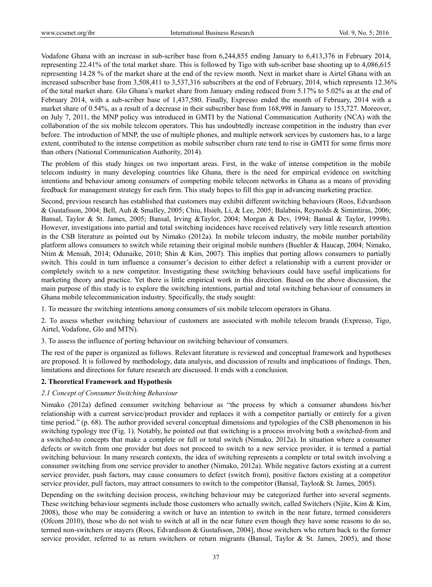Vodafone Ghana with an increase in sub-scriber base from 6,244,855 ending January to 6,413,376 in February 2014, representing 22.41% of the total market share. This is followed by Tigo with sub-scriber base shooting up to 4,086,615 representing 14.28 % of the market share at the end of the review month. Next in market share is Airtel Ghana with an increased subscriber base from 3,508,411 to 3,537,316 subscribers at the end of February, 2014, which represents 12.36% of the total market share. Glo Ghana's market share from January ending reduced from 5.17% to 5.02% as at the end of February 2014, with a sub-scriber base of 1,437,580. Finally, Expresso ended the month of February, 2014 with a market share of 0.54%, as a result of a decrease in their subscriber base from 168,998 in January to 153,727. Moreover, on July 7, 2011, the MNP policy was introduced in GMTI by the National Communication Authority (NCA) with the collaboration of the six mobile telecom operators. This has undoubtedly increase competition in the industry than ever before. The introduction of MNP, the use of multiple phones, and multiple network services by customers has, to a large extent, contributed to the intense competition as mobile subscriber churn rate tend to rise in GMTI for some firms more than others (National Communication Authority, 2014).

The problem of this study hinges on two important areas. First, in the wake of intense competition in the mobile telecom industry in many developing countries like Ghana, there is the need for empirical evidence on switching intentions and behaviour among consumers of competing mobile telecom networks in Ghana as a means of providing feedback for management strategy for each firm. This study hopes to fill this gap in advancing marketing practice.

Second, previous research has established that customers may exhibit different switching behaviours (Roos, Edvardsson & Gustafsson, 2004; Bell, Auh & Smalley, 2005; Chiu, Hsieh, Li, & Lee, 2005; Balabnis, Reynolds & Simintiras, 2006; Bansal, Taylor & St. James, 2005; Bansal, Irving &Taylor, 2004; Morgan & Dev, 1994; Bansal & Taylor, 1999b). However, investigations into partial and total switching incidences have received relatively very little research attention in the CSB literature as pointed out by Nimako (2012a). In mobile telecom industry, the mobile number portability platform allows consumers to switch while retaining their original mobile numbers (Buehler & Haucap, 2004; Nimako, Ntim & Mensah, 2014; Odunaike, 2010; Shin & Kim, 2007). This implies that porting allows consumers to partially switch. This could in turn influence a consumer's decision to either defect a relationship with a current provider or completely switch to a new competitor. Investigating these switching behaviours could have useful implications for marketing theory and practice. Yet there is little empirical work in this direction. Based on the above discussion, the main purpose of this study is to explore the switching intentions, partial and total switching behaviour of consumers in Ghana mobile telecommunication industry. Specifically, the study sought:

1. To measure the switching intentions among consumers of six mobile telecom operators in Ghana.

2. To assess whether switching behaviour of customers are associated with mobile telecom brands (Expresso, Tigo, Airtel, Vodafone, Glo and MTN).

3. To assess the influence of porting behaviour on switching behaviour of consumers.

The rest of the paper is organized as follows. Relevant literature is reviewed and conceptual framework and hypotheses are proposed. It is followed by methodology, data analysis, and discussion of results and implications of findings. Then, limitations and directions for future research are discussed. It ends with a conclusion.

#### **2. Theoretical Framework and Hypothesis**

#### *2.1 Concept of Consumer Switching Behaviour*

Nimako (2012a) defined consumer switching behaviour as "the process by which a consumer abandons his/her relationship with a current service/product provider and replaces it with a competitor partially or entirely for a given time period." (p. 68). The author provided several conceptual dimensions and typologies of the CSB phenomenon in his switching typology tree (Fig. 1). Notably, he pointed out that switching is a process involving both a switched-from and a switched-to concepts that make a complete or full or total switch (Nimako, 2012a). In situation where a consumer defects or switch from one provider but does not proceed to switch to a new service provider, it is termed a partial switching behaviour. In many research contexts, the idea of switching represents a complete or total switch involving a consumer switching from one service provider to another (Nimako, 2012a). While negative factors existing at a current service provider, push factors, may cause consumers to defect (switch from), positive factors existing at a competitor service provider, pull factors, may attract consumers to switch to the competitor (Bansal, Taylor& St. James, 2005).

Depending on the switching decision process, switching behaviour may be categorized further into several segments. These switching behaviour segments include those customers who actually switch, called Switchers (Njite, Kim & Kim, 2008), those who may be considering a switch or have an intention to switch in the near future, termed considerers (Ofcom 2010), those who do not wish to switch at all in the near future even though they have some reasons to do so, termed non-switchers or stayers (Roos, Edvardsson & Gustafsson, 2004], those switchers who return back to the former service provider, referred to as return switchers or return migrants (Bansal, Taylor & St. James, 2005), and those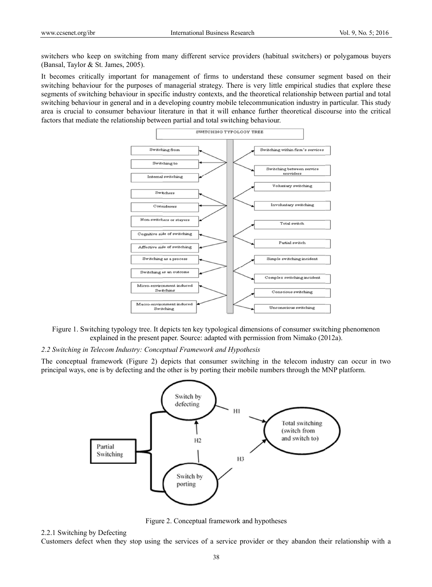switchers who keep on switching from many different service providers (habitual switchers) or polygamous buyers (Bansal, Taylor & St. James, 2005).

It becomes critically important for management of firms to understand these consumer segment based on their switching behaviour for the purposes of managerial strategy. There is very little empirical studies that explore these segments of switching behaviour in specific industry contexts, and the theoretical relationship between partial and total switching behaviour in general and in a developing country mobile telecommunication industry in particular. This study area is crucial to consumer behaviour literature in that it will enhance further theoretical discourse into the critical factors that mediate the relationship between partial and total switching behaviour.



Figure 1. Switching typology tree. It depicts ten key typological dimensions of consumer switching phenomenon explained in the present paper. Source: adapted with permission from Nimako (2012a).

2.2 Switching in Telecom Industry: Conceptual Framework and Hypothesis

The conceptual framework (Figure 2) depicts that consumer switching in the telecom industry can occur in two principal ways, one is by defecting and the other is by porting their mobile numbers through the MNP platform.



Figure 2. Conceptual framework and hypotheses

# 2.2.1 Switching by Defecting

Customers defect when they stop using the services of a service provider or they abandon their relationship with a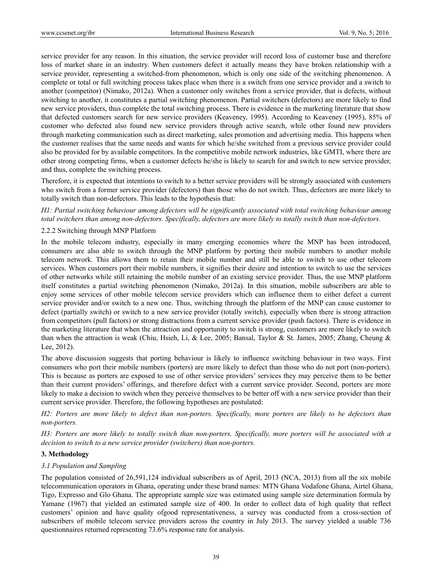service provider for any reason. In this situation, the service provider will record loss of customer base and therefore loss of market share in an industry. When customers defect it actually means they have broken relationship with a service provider, representing a switched-from phenomenon, which is only one side of the switching phenomenon. A complete or total or full switching process takes place when there is a switch from one service provider and a switch to another (competitor) (Nimako, 2012a). When a customer only switches from a service provider, that is defects, without switching to another, it constitutes a partial switching phenomenon. Partial switchers (defectors) are more likely to find new service providers, thus complete the total switching process. There is evidence in the marketing literature that show that defected customers search for new service providers (Keaveney, 1995). According to Keaveney (1995), 85% of customer who defected also found new service providers through active search, while other found new providers through marketing communication such as direct marketing, sales promotion and advertising media. This happens when the customer realises that the same needs and wants for which he/she switched from a previous service provider could also be provided for by available competitors. In the competitive mobile network industries, like GMTI, where there are other strong competing firms, when a customer defects he/she is likely to search for and switch to new service provider, and thus, complete the switching process.

Therefore, it is expected that intentions to switch to a better service providers will be strongly associated with customers who switch from a former service provider (defectors) than those who do not switch. Thus, defectors are more likely to totally switch than non-defectors. This leads to the hypothesis that:

*H1: Partial switching behaviour among defectors will be significantly associated with total switching behaviour among total switchers than among non-defectors. Specifically, defectors are more likely to totally switch than non-defectors.* 

## 2.2.2 Switching through MNP Platform

In the mobile telecom industry, especially in many emerging economies where the MNP has been introduced, consumers are also able to switch through the MNP platform by porting their mobile numbers to another mobile telecom network. This allows them to retain their mobile number and still be able to switch to use other telecom services. When customers port their mobile numbers, it signifies their desire and intention to switch to use the services of other networks while still retaining the mobile number of an existing service provider. Thus, the use MNP platform itself constitutes a partial switching phenomenon (Nimako, 2012a). In this situation, mobile subscribers are able to enjoy some services of other mobile telecom service providers which can influence them to either defect a current service provider and/or switch to a new one. Thus, switching through the platform of the MNP can cause customer to defect (partially switch) or switch to a new service provider (totally switch), especially when there is strong attraction from competitors (pull factors) or strong distractions from a current service provider (push factors). There is evidence in the marketing literature that when the attraction and opportunity to switch is strong, customers are more likely to switch than when the attraction is weak (Chiu, Hsieh, Li, & Lee, 2005; Bansal, Taylor & St. James, 2005; Zhang, Cheung & Lee, 2012).

The above discussion suggests that porting behaviour is likely to influence switching behaviour in two ways. First consumers who port their mobile numbers (porters) are more likely to defect than those who do not port (non-porters). This is because as porters are exposed to use of other service providers' services they may perceive them to be better than their current providers' offerings, and therefore defect with a current service provider. Second, porters are more likely to make a decision to switch when they perceive themselves to be better off with a new service provider than their current service provider. Therefore, the following hypotheses are postulated:

*H2: Porters are more likely to defect than non-porters. Specifically, more porters are likely to be defectors than non-porters.* 

*H3: Porters are more likely to totally switch than non-porters. Specifically, more porters will be associated with a decision to switch to a new service provider (switchers) than non-porters.* 

## **3. Methodology**

## *3.1 Population and Sampling*

The population consisted of 26,591,124 individual subscribers as of April, 2013 (NCA, 2013) from all the six mobile telecommunication operators in Ghana, operating under these brand names: MTN Ghana Vodafone Ghana, Airtel Ghana, Tigo, Expresso and Glo Ghana. The appropriate sample size was estimated using sample size determination formula by Yamane (1967) that yielded an estimated sample size of 400. In order to collect data of high quality that reflect customers' opinion and have quality ofgood representativeness, a survey was conducted from a cross-section of subscribers of mobile telecom service providers across the country in July 2013. The survey yielded a usable 736 questionnaires returned representing 73.6% response rate for analysis.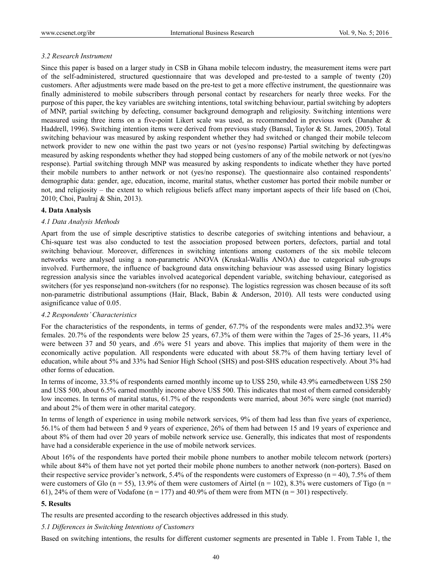#### *3.2 Research Instrument*

Since this paper is based on a larger study in CSB in Ghana mobile telecom industry, the measurement items were part of the self-administered, structured questionnaire that was developed and pre-tested to a sample of twenty (20) customers. After adjustments were made based on the pre-test to get a more effective instrument, the questionnaire was finally administered to mobile subscribers through personal contact by researchers for nearly three weeks. For the purpose of this paper, the key variables are switching intentions, total switching behaviour, partial switching by adopters of MNP, partial switching by defecting, consumer background demograph and religiosity. Switching intentions were measured using three items on a five-point Likert scale was used, as recommended in previous work (Danaher & Haddrell, 1996). Switching intention items were derived from previous study (Bansal, Taylor & St. James, 2005). Total switching behaviour was measured by asking respondent whether they had switched or changed their mobile telecom network provider to new one within the past two years or not (yes/no response) Partial switching by defectingwas measured by asking respondents whether they had stopped being customers of any of the mobile network or not (yes/no response). Partial switching through MNP was measured by asking respondents to indicate whether they have ported their mobile numbers to anther network or not (yes/no response). The questionnaire also contained respondents' demographic data: gender, age, education, income, marital status, whether customer has ported their mobile number or not, and religiosity – the extent to which religious beliefs affect many important aspects of their life based on (Choi, 2010; Choi, Paulraj & Shin, 2013).

## **4. Data Analysis**

#### *4.1 Data Analysis Methods*

Apart from the use of simple descriptive statistics to describe categories of switching intentions and behaviour, a Chi-square test was also conducted to test the association proposed between porters, defectors, partial and total switching behaviour. Moreover, differences in switching intentions among customers of the six mobile telecom networks were analysed using a non-parametric ANOVA (Kruskal-Wallis ANOA) due to categorical sub-groups involved. Furthermore, the influence of background data onswitching behaviour was assessed using Binary logistics regression analysis since the variables involved acategorical dependent variable, switching behaviour, categorised as switchers (for yes response)and non-switchers (for no response). The logistics regression was chosen because of its soft non-parametric distributional assumptions (Hair, Black, Babin & Anderson, 2010). All tests were conducted using asignificance value of 0.05.

## *4.2 Respondents' Characteristics*

For the characteristics of the respondents, in terms of gender, 67.7% of the respondents were males and32.3% were females. 20.7% of the respondents were below 25 years, 67.3% of them were within the 7ages of 25-36 years, 11.4% were between 37 and 50 years, and .6% were 51 years and above. This implies that majority of them were in the economically active population. All respondents were educated with about 58.7% of them having tertiary level of education, while about 5% and 33% had Senior High School (SHS) and post-SHS education respectively. About 3% had other forms of education.

In terms of income, 33.5% of respondents earned monthly income up to US\$ 250, while 43.9% earnedbetween US\$ 250 and US\$ 500, about 6.5% earned monthly income above US\$ 500. This indicates that most of them earned considerably low incomes. In terms of marital status, 61.7% of the respondents were married, about 36% were single (not married) and about 2% of them were in other marital category.

In terms of length of experience in using mobile network services, 9% of them had less than five years of experience, 56.1% of them had between 5 and 9 years of experience, 26% of them had between 15 and 19 years of experience and about 8% of them had over 20 years of mobile network service use. Generally, this indicates that most of respondents have had a considerable experience in the use of mobile network services.

About 16% of the respondents have ported their mobile phone numbers to another mobile telecom network (porters) while about 84% of them have not yet ported their mobile phone numbers to another network (non-porters). Based on their respective service provider's network, 5.4% of the respondents were customers of Expresso ( $n = 40$ ), 7.5% of them were customers of Glo (n = 55), 13.9% of them were customers of Airtel (n = 102), 8.3% were customers of Tigo (n = 61), 24% of them were of Vodafone ( $n = 177$ ) and 40.9% of them were from MTN ( $n = 301$ ) respectively.

# **5. Results**

The results are presented according to the research objectives addressed in this study.

## *5.1 Differences in Switching Intentions of Customers*

Based on switching intentions, the results for different customer segments are presented in Table 1. From Table 1, the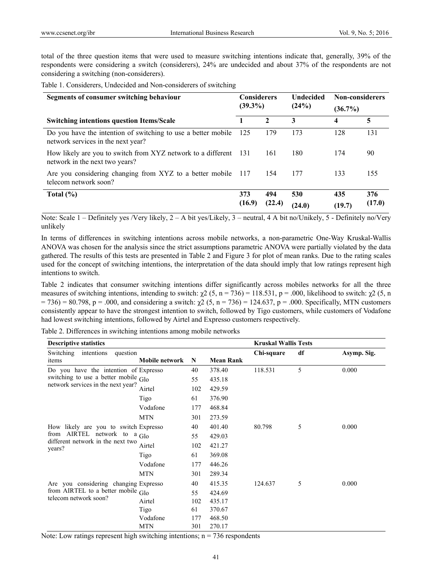total of the three question items that were used to measure switching intentions indicate that, generally, 39% of the respondents were considering a switch (considerers), 24% are undecided and about 37% of the respondents are not considering a switching (non-considerers).

Table 1. Considerers, Undecided and Non-considerers of switching

| Segments of consumer switching behaviour                                                            |        | <b>Considerers</b><br>$(39.3\%)$ | Undecided<br>(24%) | <b>Non-considerers</b><br>$(36.7\%)$ |        |
|-----------------------------------------------------------------------------------------------------|--------|----------------------------------|--------------------|--------------------------------------|--------|
| <b>Switching intentions question Items/Scale</b>                                                    |        | $\mathbf{2}$                     | 3                  | 4                                    | 5      |
| Do you have the intention of switching to use a better mobile<br>network services in the next year? | 125    | 179                              | 173                | 128                                  | 131    |
| How likely are you to switch from XYZ network to a different 131<br>network in the next two years?  |        | 161                              | 180                | 174                                  | 90     |
| Are you considering changing from XYZ to a better mobile<br>telecom network soon?                   | 117    | 154                              | 177                | 133                                  | 155    |
| Total $(\% )$                                                                                       |        | 494                              | 530                | 435                                  | 376    |
|                                                                                                     | (16.9) | (22.4)                           | (24.0)             | (19.7)                               | (17.0) |

Note: Scale 1 – Definitely yes /Very likely, 2 – A bit yes/Likely, 3 – neutral, 4 A bit no/Unikely, 5 - Definitely no/Very unlikely

In terms of differences in switching intentions across mobile networks, a non-parametric One-Way Kruskal-Wallis ANOVA was chosen for the analysis since the strict assumptions parametric ANOVA were partially violated by the data gathered. The results of this tests are presented in Table 2 and Figure 3 for plot of mean ranks. Due to the rating scales used for the concept of switching intentions, the interpretation of the data should imply that low ratings represent high intentions to switch.

Table 2 indicates that consumer switching intentions differ significantly across mobiles networks for all the three measures of switching intentions, intending to switch:  $\gamma$ 2 (5, n = 736) = 118.531, p = .000, likelihood to switch:  $\gamma$ 2 (5, n  $= 736$ ) = 80.798, p = .000, and considering a switch:  $\chi$ 2 (5, n = 736) = 124.637, p = .000. Specifically, MTN customers consistently appear to have the strongest intention to switch, followed by Tigo customers, while customers of Vodafone had lowest switching intentions, followed by Airtel and Expresso customers respectively.

Table 2. Differences in switching intentions among mobile networks

| <b>Descriptive statistics</b>                               |                | <b>Kruskal Wallis Tests</b> |                  |            |    |             |
|-------------------------------------------------------------|----------------|-----------------------------|------------------|------------|----|-------------|
| Switching<br>intentions<br>question<br>items                | Mobile network | N                           | <b>Mean Rank</b> | Chi-square | df | Asymp. Sig. |
| Do you have the intention of Expresso                       |                | 40                          | 378.40           | 118.531    | 5  | 0.000       |
| switching to use a better mobile Glo                        |                | 55                          | 435.18           |            |    |             |
| network services in the next year?                          | Airtel         | 102                         | 429.59           |            |    |             |
|                                                             | Tigo           | 61                          | 376.90           |            |    |             |
|                                                             | Vodafone       | 177                         | 468.84           |            |    |             |
|                                                             | <b>MTN</b>     | 301                         | 273.59           |            |    |             |
| How likely are you to switch Expresso                       |                | 40                          | 401.40           | 80.798     | 5  | 0.000       |
| AIRTEL network to a Glo<br>from                             |                | 55                          | 429.03           |            |    |             |
| different network in the next two<br>years?                 | Airtel         | 102                         | 421.27           |            |    |             |
|                                                             | Tigo           | 61                          | 369.08           |            |    |             |
|                                                             | Vodafone       | 177                         | 446.26           |            |    |             |
|                                                             | <b>MTN</b>     | 301                         | 289.34           |            |    |             |
| Are you considering changing Expresso                       |                | 40                          | 415.35           | 124.637    | 5  | 0.000       |
| from AIRTEL to a better mobile Glo<br>telecom network soon? |                | 55                          | 424.69           |            |    |             |
|                                                             | Airtel         | 102                         | 435.17           |            |    |             |
|                                                             | Tigo           | 61                          | 370.67           |            |    |             |
|                                                             | Vodafone       | 177                         | 468.50           |            |    |             |
|                                                             | <b>MTN</b>     | 301                         | 270.17           |            |    |             |

Note: Low ratings represent high switching intentions;  $n = 736$  respondents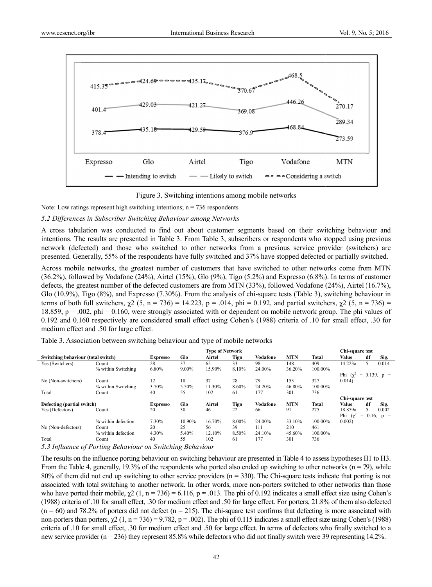

Figure 3. Switching intentions among mobile networks

Note: Low ratings represent high switching intentions;  $n = 736$  respondents

5.2 Differences in Subscriber Switching Behaviour among Networks

A cross tabulation was conducted to find out about customer segments based on their switching behaviour and intentions. The results are presented in Table 3. From Table 3, subscribers or respondents who stopped using previous network (defected) and those who switched to other networks from a previous service provider (switchers) are presented. Generally, 55% of the respondents have fully switched and 37% have stopped defected or partially switched.

Across mobile networks, the greatest number of customers that have switched to other networks come from MTN  $(36.2\%)$ , followed by Vodafone  $(24\%)$ , Airtel  $(15\%)$ , Glo  $(9\%)$ , Tigo  $(5.2\%)$  and Expresso  $(6.8\%)$ . In terms of customer defects, the greatest number of the defected customers are from MTN  $(33%)$ , followed Vodafone  $(24%)$ , Airtel  $(16.7%)$ , Glo (10.9%), Tigo (8%), and Expresso (7.30%). From the analysis of chi-square tests (Table 3), switching behaviour in terms of both full switchers,  $\chi$ 2 (5, n = 736) = 14.223, p = .014, phi = 0.192, and partial switchers,  $\chi$ 2 (5, n = 736) = 18.859,  $p = .002$ ,  $phi = 0.160$ , were strongly associated with or dependent on mobile network group. The phi values of 0.192 and 0.160 respectively are considered small effect using Cohen's (1988) criteria of .10 for small effect, .30 for medium effect and .50 for large effect.

Table 3. Association between switching behaviour and type of mobile networks

|                                    |                    | <b>Type of Network</b> |        |        |       |                 | Chi-square test |         |                   |                 |                 |
|------------------------------------|--------------------|------------------------|--------|--------|-------|-----------------|-----------------|---------|-------------------|-----------------|-----------------|
| Switching behaviour (total switch) |                    | <b>Expresso</b>        | Glo    | Airtel | Tigo  | Vodafone        | <b>MTN</b>      | Total   | Value             | df              | Sig.            |
| Yes (Switchers)                    | Count              | 28                     | 37     | 65     | 33    | 98              | 148             | 409     | 14.223a           |                 | 0.014           |
|                                    | % within Switching | 6.80%                  | 9.00%  | 15.90% | 8.10% | 24.00%          | 36.20%          | 100.00% |                   |                 |                 |
|                                    |                    |                        |        |        |       |                 |                 |         | Phi $(\chi^2)$    |                 | $= 0.139$ , p = |
| No (Non-switchers)                 | Count              | 12                     | 18     | 37     | 28    | 79              | 153             | 327     | 0.014             |                 |                 |
|                                    | % within Switching | 3.70%                  | 5.50%  | 11.30% | 8.60% | 24.20%          | 46.80%          | 100.00% |                   |                 |                 |
| Total                              | Count              | 40                     | 55     | 102    | 61    | 177             | 301             | 736     |                   |                 |                 |
|                                    |                    |                        |        |        |       |                 |                 |         | Chi-square test   |                 |                 |
| Defecting (partial switch)         |                    | <b>Expresso</b>        | Glo    | Airtel | Tigo  | <b>Vodafone</b> | <b>MTN</b>      | Total   | Value             | df              | Sig.            |
| Yes (Defectors)                    | Count              | 20                     | 30     | 46     | 22    | 66              | 91              | 275     | 18.859a           | 5               | 0.002           |
|                                    |                    |                        |        |        |       |                 |                 |         | Phi<br>$(\chi^2)$ | $0.16$ ,<br>$=$ | $p =$           |
|                                    | % within defection | 7.30%                  | 10.90% | 16.70% | 8.00% | 24.00%          | 33.10%          | 100.00% | 0.002             |                 |                 |
| No (Non-defectors)                 | Count              | 20                     | 25     | 56     | 39    | 111             | 210             | 461     |                   |                 |                 |
|                                    | % within defection | 4.30%                  | 5.40%  | 12.10% | 8.50% | 24.10%          | 45.60%          | 100.00% |                   |                 |                 |
| Total                              | Count              | 40                     | 55     | 102    | 61    | 177             | 301             | 736     |                   |                 |                 |

5.3 Influence of Porting Behaviour on Switching Behaviour

The results on the influence porting behaviour on switching behaviour are presented in Table 4 to assess hypotheses H1 to H3. From the Table 4, generally, 19.3% of the respondents who ported also ended up switching to other networks ( $n = 79$ ), while 80% of them did not end up switching to other service providers ( $n = 330$ ). The Chi-square tests indicate that porting is not associated with total switching to another network. In other words, more non-porters switched to other networks than those who have ported their mobile,  $\gamma$ 2 (1, n = 736) = 6.116, p = .013. The phi of 0.192 indicates a small effect size using Cohen's (1988) criteria of .10 for small effect, .30 for medium effect and .50 for large effect. For porters, 21.8% of them also defected  $(n = 60)$  and 78.2% of porters did not defect  $(n = 215)$ . The chi-square test confirms that defecting is more associated with non-porters than porters,  $\chi$ 2 (1, n = 736) = 9.782, p = .002). The phi of 0.115 indicates a small effect size using Cohen's (1988) criteria of .10 for small effect, .30 for medium effect and .50 for large effect. In terms of defectors who finally switched to a new service provider ( $n = 236$ ) they represent 85.8% while defectors who did not finally switch were 39 representing 14.2%.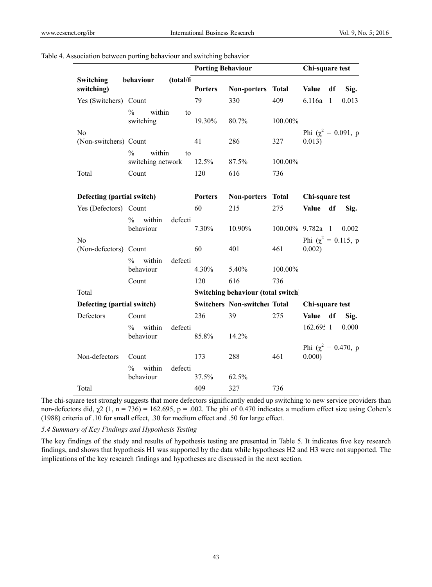|                                         |                                                    | <b>Porting Behaviour</b>           |                              |                | Chi-square test                     |                |       |  |  |
|-----------------------------------------|----------------------------------------------------|------------------------------------|------------------------------|----------------|-------------------------------------|----------------|-------|--|--|
| Switching<br>switching)                 | (total/f<br>behaviour                              | <b>Porters</b>                     | Non-porters                  | <b>Total</b>   | <b>Value</b>                        | df             | Sig.  |  |  |
| Yes (Switchers) Count                   |                                                    | 79                                 | 330                          | 409            | 6.116a                              | 1              | 0.013 |  |  |
|                                         | within<br>$\frac{0}{0}$<br>to<br>switching         | 19.30%                             | 80.7%                        | 100.00%        |                                     |                |       |  |  |
| N <sub>0</sub><br>(Non-switchers) Count |                                                    | 41                                 | 286                          | 327            | Phi ( $\chi^2$ = 0.091, p<br>0.013) |                |       |  |  |
|                                         | $\frac{0}{0}$<br>within<br>to<br>switching network | 12.5%                              | 87.5%                        | 100.00%        |                                     |                |       |  |  |
| Total                                   | Count                                              | 120                                | 616                          | 736            |                                     |                |       |  |  |
| Defecting (partial switch)              |                                                    | <b>Porters</b>                     | Non-porters Total            |                | Chi-square test                     |                |       |  |  |
| Yes (Defectors) Count                   |                                                    | 60                                 | 215                          | 275            | Value                               | df             | Sig.  |  |  |
|                                         | within<br>$\%$<br>defecti<br>behaviour             | 7.30%                              | 10.90%                       | 100.00% 9.782a |                                     | $\overline{1}$ | 0.002 |  |  |
| N <sub>0</sub><br>(Non-defectors) Count |                                                    | 60                                 | 401                          | 461            | Phi ( $\chi^2$ = 0.115, p<br>0.002) |                |       |  |  |
|                                         | $%$ within<br>defecti<br>behaviour                 | 4.30%                              | 5.40%                        | 100.00%        |                                     |                |       |  |  |
|                                         | Count                                              | 120                                | 616                          | 736            |                                     |                |       |  |  |
| Total                                   |                                                    | Switching behaviour (total switch) |                              |                |                                     |                |       |  |  |
| Defecting (partial switch)              |                                                    |                                    | Switchers Non-switcher Total |                | Chi-square test                     |                |       |  |  |
| Defectors                               | Count                                              | 236                                | 39                           | 275            | <b>Value</b>                        | df             | Sig.  |  |  |
|                                         | $%$ within<br>defecti<br>behaviour                 | 85.8%                              | 14.2%                        |                | 162.695 1                           |                | 0.000 |  |  |
| Non-defectors                           | Count                                              | 173                                | 288                          | 461            | Phi $(\chi^2 = 0.470, p$<br>0.000)  |                |       |  |  |
|                                         | within<br>$\frac{0}{0}$<br>defecti<br>behaviour    | 37.5%                              | 62.5%                        |                |                                     |                |       |  |  |
| Total                                   |                                                    | 409                                | 327                          | 736            |                                     |                |       |  |  |

## Table 4. Association between porting behaviour and switching behavior

The chi-square test strongly suggests that more defectors significantly ended up switching to new service providers than non-defectors did,  $χ2$  (1, n = 736) = 162.695, p = .002. The phi of 0.470 indicates a medium effect size using Cohen's (1988) criteria of .10 for small effect, .30 for medium effect and .50 for large effect.

# *5.4 Summary of Key Findings and Hypothesis Testing*

The key findings of the study and results of hypothesis testing are presented in Table 5. It indicates five key research findings, and shows that hypothesis H1 was supported by the data while hypotheses H2 and H3 were not supported. The implications of the key research findings and hypotheses are discussed in the next section.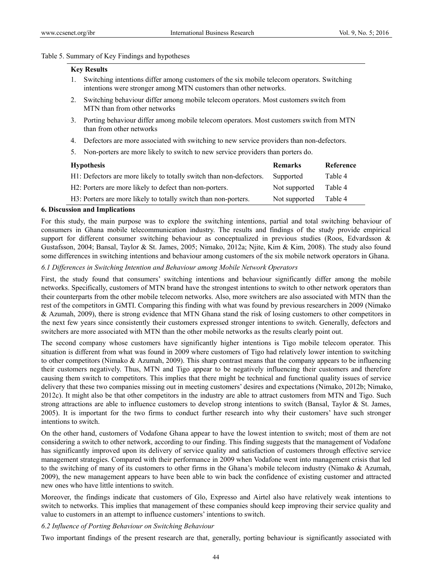## Table 5. Summary of Key Findings and hypotheses

#### **Key Results**

- 1. Switching intentions differ among customers of the six mobile telecom operators. Switching intentions were stronger among MTN customers than other networks.
- 2. Switching behaviour differ among mobile telecom operators. Most customers switch from MTN than from other networks
- 3. Porting behaviour differ among mobile telecom operators. Most customers switch from MTN than from other networks
- 4. Defectors are more associated with switching to new service providers than non-defectors.
- 5. Non-porters are more likely to switch to new service providers than porters do.

| <b>Hypothesis</b>                                                   | <b>Remarks</b> | Reference |
|---------------------------------------------------------------------|----------------|-----------|
| H1: Defectors are more likely to totally switch than non-defectors. | Supported      | Table 4   |
| H2: Porters are more likely to defect than non-porters.             | Not supported  | Table 4   |
| H3: Porters are more likely to totally switch than non-porters.     | Not supported  | Table 4   |

#### **6. Discussion and Implications**

For this study, the main purpose was to explore the switching intentions, partial and total switching behaviour of consumers in Ghana mobile telecommunication industry. The results and findings of the study provide empirical support for different consumer switching behaviour as conceptualized in previous studies (Roos, Edvardsson & Gustafsson, 2004; Bansal, Taylor & St. James, 2005; Nimako, 2012a; Njite, Kim & Kim, 2008). The study also found some differences in switching intentions and behaviour among customers of the six mobile network operators in Ghana.

#### *6.1 Differences in Switching Intention and Behaviour among Mobile Network Operators*

First, the study found that consumers' switching intentions and behaviour significantly differ among the mobile networks. Specifically, customers of MTN brand have the strongest intentions to switch to other network operators than their counterparts from the other mobile telecom networks. Also, more switchers are also associated with MTN than the rest of the competitors in GMTI. Comparing this finding with what was found by previous researchers in 2009 (Nimako & Azumah, 2009), there is strong evidence that MTN Ghana stand the risk of losing customers to other competitors in the next few years since consistently their customers expressed stronger intentions to switch. Generally, defectors and switchers are more associated with MTN than the other mobile networks as the results clearly point out.

The second company whose customers have significantly higher intentions is Tigo mobile telecom operator. This situation is different from what was found in 2009 where customers of Tigo had relatively lower intention to switching to other competitors (Nimako & Azumah, 2009). This sharp contrast means that the company appears to be influencing their customers negatively. Thus, MTN and Tigo appear to be negatively influencing their customers and therefore causing them switch to competitors. This implies that there might be technical and functional quality issues of service delivery that these two companies missing out in meeting customers' desires and expectations (Nimako, 2012b; Nimako, 2012c). It might also be that other competitors in the industry are able to attract customers from MTN and Tigo. Such strong attractions are able to influence customers to develop strong intentions to switch (Bansal, Taylor & St. James, 2005). It is important for the two firms to conduct further research into why their customers' have such stronger intentions to switch.

On the other hand, customers of Vodafone Ghana appear to have the lowest intention to switch; most of them are not considering a switch to other network, according to our finding. This finding suggests that the management of Vodafone has significantly improved upon its delivery of service quality and satisfaction of customers through effective service management strategies. Compared with their performance in 2009 when Vodafone went into management crisis that led to the switching of many of its customers to other firms in the Ghana's mobile telecom industry (Nimako & Azumah, 2009), the new management appears to have been able to win back the confidence of existing customer and attracted new ones who have little intentions to switch.

Moreover, the findings indicate that customers of Glo, Expresso and Airtel also have relatively weak intentions to switch to networks. This implies that management of these companies should keep improving their service quality and value to customers in an attempt to influence customers' intentions to switch.

## *6.2 Influence of Porting Behaviour on Switching Behaviour*

Two important findings of the present research are that, generally, porting behaviour is significantly associated with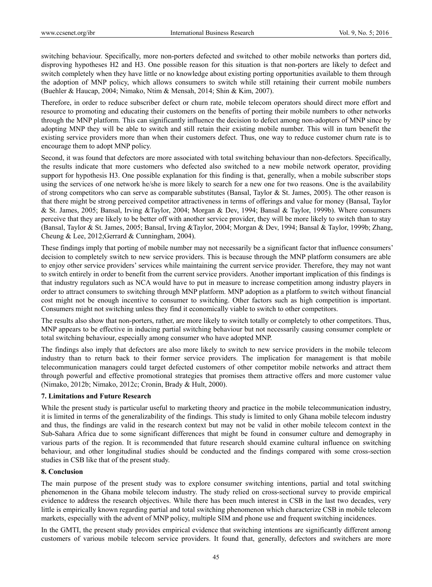switching behaviour. Specifically, more non-porters defected and switched to other mobile networks than porters did, disproving hypotheses H2 and H3. One possible reason for this situation is that non-porters are likely to defect and switch completely when they have little or no knowledge about existing porting opportunities available to them through the adoption of MNP policy, which allows consumers to switch while still retaining their current mobile numbers (Buehler & Haucap, 2004; Nimako, Ntim & Mensah, 2014; Shin & Kim, 2007).

Therefore, in order to reduce subscriber defect or churn rate, mobile telecom operators should direct more effort and resource to promoting and educating their customers on the benefits of porting their mobile numbers to other networks through the MNP platform. This can significantly influence the decision to defect among non-adopters of MNP since by adopting MNP they will be able to switch and still retain their existing mobile number. This will in turn benefit the existing service providers more than when their customers defect. Thus, one way to reduce customer churn rate is to encourage them to adopt MNP policy.

Second, it was found that defectors are more associated with total switching behaviour than non-defectors. Specifically, the results indicate that more customers who defected also switched to a new mobile network operator, providing support for hypothesis H3. One possible explanation for this finding is that, generally, when a mobile subscriber stops using the services of one network he/she is more likely to search for a new one for two reasons. One is the availability of strong competitors who can serve as comparable substitutes (Bansal, Taylor & St. James, 2005). The other reason is that there might be strong perceived competitor attractiveness in terms of offerings and value for money (Bansal, Taylor & St. James, 2005; Bansal, Irving &Taylor, 2004; Morgan & Dev, 1994; Bansal & Taylor, 1999b). Where consumers perceive that they are likely to be better off with another service provider, they will be more likely to switch than to stay (Bansal, Taylor & St. James, 2005; Bansal, Irving &Taylor, 2004; Morgan & Dev, 1994; Bansal & Taylor, 1999b; Zhang, Cheung & Lee, 2012;Gerrard & Cunningham, 2004).

These findings imply that porting of mobile number may not necessarily be a significant factor that influence consumers' decision to completely switch to new service providers. This is because through the MNP platform consumers are able to enjoy other service providers' services while maintaining the current service provider. Therefore, they may not want to switch entirely in order to benefit from the current service providers. Another important implication of this findings is that industry regulators such as NCA would have to put in measure to increase competition among industry players in order to attract consumers to switching through MNP platform. MNP adoption as a platform to switch without financial cost might not be enough incentive to consumer to switching. Other factors such as high competition is important. Consumers might not switching unless they find it economically viable to switch to other competitors.

The results also show that non-porters, rather, are more likely to switch totally or completely to other competitors. Thus, MNP appears to be effective in inducing partial switching behaviour but not necessarily causing consumer complete or total switching behaviour, especially among consumer who have adopted MNP.

The findings also imply that defectors are also more likely to switch to new service providers in the mobile telecom industry than to return back to their former service providers. The implication for management is that mobile telecommunication managers could target defected customers of other competitor mobile networks and attract them through powerful and effective promotional strategies that promises them attractive offers and more customer value (Nimako, 2012b; Nimako, 2012c; Cronin, Brady & Hult, 2000).

## **7. Limitations and Future Research**

While the present study is particular useful to marketing theory and practice in the mobile telecommunication industry, it is limited in terms of the generalizability of the findings. This study is limited to only Ghana mobile telecom industry and thus, the findings are valid in the research context but may not be valid in other mobile telecom context in the Sub-Sahara Africa due to some significant differences that might be found in consumer culture and demography in various parts of the region. It is recommended that future research should examine cultural influence on switching behaviour, and other longitudinal studies should be conducted and the findings compared with some cross-section studies in CSB like that of the present study.

## **8. Conclusion**

The main purpose of the present study was to explore consumer switching intentions, partial and total switching phenomenon in the Ghana mobile telecom industry. The study relied on cross-sectional survey to provide empirical evidence to address the research objectives. While there has been much interest in CSB in the last two decades, very little is empirically known regarding partial and total switching phenomenon which characterize CSB in mobile telecom markets, especially with the advent of MNP policy, multiple SIM and phone use and frequent switching incidences.

In the GMTI, the present study provides empirical evidence that switching intentions are significantly different among customers of various mobile telecom service providers. It found that, generally, defectors and switchers are more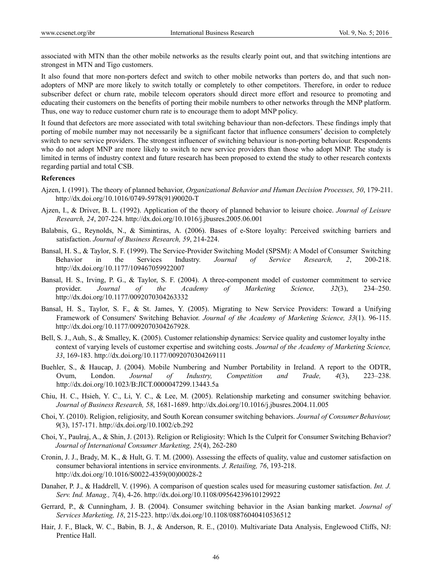associated with MTN than the other mobile networks as the results clearly point out, and that switching intentions are strongest in MTN and Tigo customers.

It also found that more non-porters defect and switch to other mobile networks than porters do, and that such nonadopters of MNP are more likely to switch totally or completely to other competitors. Therefore, in order to reduce subscriber defect or churn rate, mobile telecom operators should direct more effort and resource to promoting and educating their customers on the benefits of porting their mobile numbers to other networks through the MNP platform. Thus, one way to reduce customer churn rate is to encourage them to adopt MNP policy.

It found that defectors are more associated with total switching behaviour than non-defectors. These findings imply that porting of mobile number may not necessarily be a significant factor that influence consumers' decision to completely switch to new service providers. The strongest influencer of switching behaviour is non-porting behaviour. Respondents who do not adopt MNP are more likely to switch to new service providers than those who adopt MNP. The study is limited in terms of industry context and future research has been proposed to extend the study to other research contexts regarding partial and total CSB.

#### **References**

- Ajzen, I. (1991). The theory of planned behavior, *Organizational Behavior and Human Decision Processes, 50*, 179-211. http://dx.doi.org/10.1016/0749-5978(91)90020-T
- Ajzen, I., & Driver, B. L. (1992). Application of the theory of planned behavior to leisure choice. *Journal of Leisure Research, 24*, 207-224. http://dx.doi.org/10.1016/j.jbusres.2005.06.001
- Balabnis, G., Reynolds, N., & Simintiras, A. (2006). Bases of e-Store loyalty: Perceived switching barriers and satisfaction. *Journal of Business Research, 59*, 214-224.
- Bansal, H. S., & Taylor, S. F. (1999). The Service-Provider Switching Model (SPSM): A Model of Consumer Switching Behavior in the Services Industry. *Journal of Service Research, 2*, 200-218. http://dx.doi.org/10.1177/109467059922007
- Bansal, H. S., Irving, P. G., & Taylor, S. F. (2004). A three-component model of customer commitment to service provider. *Journal of the Academy of Marketing Science, 32*(3), 234–250. http://dx.doi.org/10.1177/0092070304263332
- Bansal, H. S., Taylor, S. F., & St. James, Y. (2005). Migrating to New Service Providers: Toward a Unifying Framework of Consumers' Switching Behavior. *Journal of the Academy of Marketing Science, 33*(1). 96-115. http://dx.doi.org/10.1177/0092070304267928.
- Bell, S. J., Auh, S., & Smalley, K. (2005). Customer relationship dynamics: Service quality and customer loyalty in the context of varying levels of customer expertise and switching costs. *Journal of the Academy of Marketing Science, 33*, 169-183. http://dx.doi.org/10.1177/0092070304269111
- Buehler, S., & Haucap, J. (2004). Mobile Numbering and Number Portability in Ireland. A report to the ODTR, Ovum, London. *Journal of Industry, Competition and Trade, 4*(3), 223–238. http://dx.doi.org/10.1023/B:JICT.0000047299.13443.5a
- Chiu, H. C., Hsieh, Y. C., Li, Y. C., & Lee, M. (2005). Relationship marketing and consumer switching behavior. *Journal of Business Research, 58*, 1681-1689. http://dx.doi.org/10.1016/j.jbusres.2004.11.005
- Choi, Y. (2010). Religion, religiosity, and South Korean consumer switching behaviors. *Journal of Consumer Behaviour, 9*(3), 157-171. http://dx.doi.org/10.1002/cb.292
- Choi, Y., Paulraj, A., & Shin, J. (2013). Religion or Religiosity: Which Is the Culprit for Consumer Switching Behavior? *Journal of International Consumer Marketing, 25*(4), 262-280
- Cronin, J. J., Brady, M. K., & Hult, G. T. M. (2000). Assessing the effects of quality, value and customer satisfaction on consumer behavioral intentions in service environments. *J. Retailing, 76*, 193-218. http://dx.doi.org/10.1016/S0022-4359(00)00028-2
- Danaher, P. J., & Haddrell, V. (1996). A comparison of question scales used for measuring customer satisfaction. *Int. J. Serv. Ind. Manag., 7*(4), 4-26. http://dx.doi.org/10.1108/09564239610129922
- Gerrard, P., & Cunningham, J. B. (2004). Consumer switching behavior in the Asian banking market. *Journal of Services Marketing, 18*, 215-223. http://dx.doi.org/10.1108/08876040410536512
- Hair, J. F., Black, W. C., Babin, B. J., & Anderson, R. E., (2010). Multivariate Data Analysis, Englewood Cliffs, NJ: Prentice Hall.